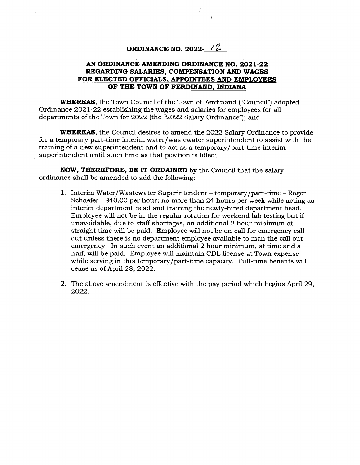## **ORDINANCE NO. 2022-**

## **AN ORDINANCE AMENDING ORDINANCE NO. 2021-22 REGARDING SALARIES, COMPENSATION AND WAGES FOR ELECTED OFFICIALS, APPOINTEES AND EMPLOYEES OF THE TOWN OF FERDINAND, INDIANA**

**WHEREAS,** the Town Council of the Town of Ferdinand ("Council") adopted Ordinance 2021-22 establishing the wages and salaries for employees for all departments of the Town for 2022 (the "2022 Salary Ordinance"); and

**WHEREAS**, the Council desires to amend the 2022 Salary Ordinance to provide for a temporary part-time interim water/wastewater superintendent to assist with the training of a new superintendent and to act as a temporary/part-time interim superintendent until such time as that position is filled;

**NOW, THEREFORE, BE IT ORDAINED** by the Council that the salary ordinance shall be amended to add the following:

- 1. Interim Water/Wastewater Superintendent temporary/part-time Roger Schaefer - \$40.00 per hour; no more than 24 hours per week while acting as interim department head and training the newly-hired department head. Employee will not be in the regular rotation for weekend lab testing but if unavoidable, due to staff shortages, an additional 2 hour minimum at straight time will be paid. Employee will not be on call for emergency call out unless there is no department employee available to man the call out emergency. In such event an additional 2 hour minimum, at time and a half, will be paid. Employee will maintain CDL license at Town expense while serving in this temporary/part-time capacity. Full-time benefits will cease as of April 28, 2022.
- 2. The above amendment is effective with the pay period which begins April 29, 2022.